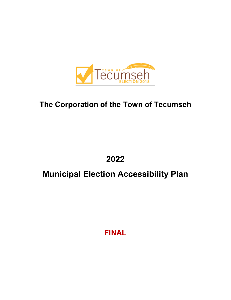

# **The Corporation of the Town of Tecumseh**

**2022**

# **Municipal Election Accessibility Plan**

**FINAL**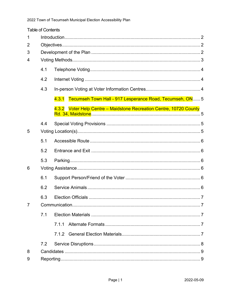| <b>Table of Contents</b> |     |                                                                     |  |  |  |
|--------------------------|-----|---------------------------------------------------------------------|--|--|--|
| 1                        |     |                                                                     |  |  |  |
| 2                        |     |                                                                     |  |  |  |
| 3                        |     |                                                                     |  |  |  |
| 4                        |     |                                                                     |  |  |  |
|                          | 4.1 |                                                                     |  |  |  |
|                          | 4.2 |                                                                     |  |  |  |
|                          | 4.3 |                                                                     |  |  |  |
|                          |     | Tecumseh Town Hall - 917 Lesperance Road, Tecumseh, ON 5<br>4.3.1   |  |  |  |
|                          |     | 4.3.2 Voter Help Centre - Maidstone Recreation Centre, 10720 County |  |  |  |
|                          | 4.4 |                                                                     |  |  |  |
| 5                        |     |                                                                     |  |  |  |
|                          | 5.1 |                                                                     |  |  |  |
|                          | 5.2 |                                                                     |  |  |  |
|                          | 5.3 |                                                                     |  |  |  |
| 6                        |     |                                                                     |  |  |  |
|                          | 6.1 |                                                                     |  |  |  |
|                          | 6.2 |                                                                     |  |  |  |
|                          | 6.3 |                                                                     |  |  |  |
| $\overline{7}$           |     |                                                                     |  |  |  |
|                          | 7.1 |                                                                     |  |  |  |
|                          |     | 7.1.1                                                               |  |  |  |
|                          |     |                                                                     |  |  |  |
|                          | 7.2 |                                                                     |  |  |  |
| 8                        |     |                                                                     |  |  |  |
| 9                        |     |                                                                     |  |  |  |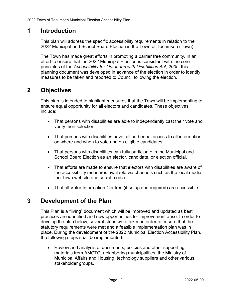# <span id="page-2-0"></span>**1 Introduction**

This plan will address the specific accessibility requirements in relation to the 2022 Municipal and School Board Election in the Town of Tecumseh (Town).

The Town has made great efforts in promoting a barrier free community. In an effort to ensure that the 2022 Municipal Election is consistent with the core principles of the *Accessibility for Ontarians with Disabilities Act, 2005*, this planning document was developed in advance of the election in order to identify measures to be taken and reported to Council following the election.

# <span id="page-2-1"></span>**2 Objectives**

This plan is intended to highlight measures that the Town will be implementing to ensure equal opportunity for all electors and candidates. These objectives include:

- That persons with disabilities are able to independently cast their vote and verify their selection.
- That persons with disabilities have full and equal access to all information on where and when to vote and on eligible candidates.
- That persons with disabilities can fully participate in the Municipal and School Board Election as an elector, candidate, or election official.
- That efforts are made to ensure that electors with disabilities are aware of the accessibility measures available via channels such as the local media, the Town website and social media.
- That all Voter Information Centres (if setup and required) are accessible.

# <span id="page-2-2"></span>**3 Development of the Plan**

This Plan is a "living" document which will be improved and updated as best practices are identified and new opportunities for improvement arise. In order to develop the plan below, several steps were taken in order to ensure that the statutory requirements were met and a feasible implementation plan was in place. During the development of the 2022 Municipal Election Accessibility Plan, the following steps shall be implemented:

• Review and analysis of documents, policies and other supporting materials from AMCTO, neighboring municipalities, the Ministry of Municipal Affairs and Housing, technology suppliers and other various stakeholder groups.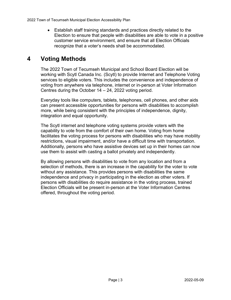• Establish staff training standards and practices directly related to the Election to ensure that people with disabilities are able to vote in a positive customer service environment, and ensure that all Election Officials recognize that a voter's needs shall be accommodated.

# <span id="page-3-0"></span>**4 Voting Methods**

The 2022 Town of Tecumseh Municipal and School Board Election will be working with Scytl Canada Inc. (Scytl) to provide Internet and Telephone Voting services to eligible voters. This includes the convenience and independence of voting from anywhere via telephone, internet or in-person at Voter Information Centres during the October 14 – 24, 2022 voting period.

Everyday tools like computers, tablets, telephones, cell phones, and other aids can present accessible opportunities for persons with disabilities to accomplish more, while being consistent with the principles of independence, dignity, integration and equal opportunity.

The Scytl internet and telephone voting systems provide voters with the capability to vote from the comfort of their own home. Voting from home facilitates the voting process for persons with disabilities who may have mobility restrictions, visual impairment, and/or have a difficult time with transportation. Additionally, persons who have assistive devices set up in their homes can now use them to assist with casting a ballot privately and independently.

By allowing persons with disabilities to vote from any location and from a selection of methods, there is an increase in the capability for the voter to vote without any assistance. This provides persons with disabilities the same independence and privacy in participating in the election as other voters. If persons with disabilities do require assistance in the voting process, trained Election Officials will be present in-person at the Voter Information Centres offered, throughout the voting period.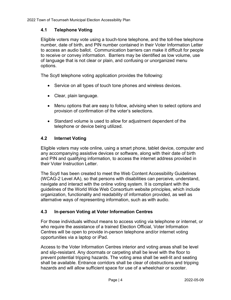### <span id="page-4-0"></span>**4.1 Telephone Voting**

Eligible voters may vote using a touch-tone telephone, and the toll-free telephone number, date of birth, and PIN number contained in their Voter Information Letter to access an audio ballot. Communication barriers can make it difficult for people to receive or convey information. Barriers may be identified as low volume, use of language that is not clear or plain, and confusing or unorganized menu options.

The Scytl telephone voting application provides the following:

- Service on all types of touch tone phones and wireless devices.
- Clear, plain language.
- Menu options that are easy to follow, advising when to select options and provision of confirmation of the voter's selections.
- Standard volume is used to allow for adjustment dependent of the telephone or device being utilized.

#### <span id="page-4-1"></span>**4.2 Internet Voting**

Eligible voters may vote online, using a smart phone, tablet device, computer and any accompanying assistive devices or software, along with their date of birth and PIN and qualifying information, to access the internet address provided in their Voter Instruction Letter.

The Scytl has been created to meet the Web Content Accessibility Guidelines (WCAG-2 Level AA), so that persons with disabilities can perceive, understand, navigate and interact with the online voting system. It is compliant with the guidelines of the World Wide Web Consortium website principles, which include organization, functionality and readability of information provided, as well as alternative ways of representing information, such as with audio.

#### <span id="page-4-2"></span>**4.3 In-person Voting at Voter Information Centres**

For those individuals without means to access voting via telephone or internet, or who require the assistance of a trained Election Official, Voter Information Centres will be open to provide in-person telephone and/or internet voting opportunities via a laptop or iPad.

Access to the Voter Information Centres interior and voting areas shall be level and slip-resistant. Any doormats or carpeting shall be level with the floor to prevent potential tripping hazards. The voting area shall be well-lit and seating shall be available. Entrance corridors shall be clear of obstructions and tripping hazards and will allow sufficient space for use of a wheelchair or scooter.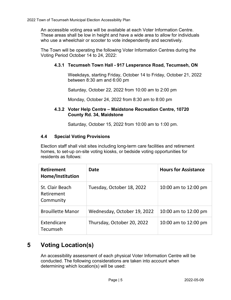An accessible voting area will be available at each Voter Information Centre. These areas shall be low in height and have a wide area to allow for individuals who use a wheelchair or scooter to vote independently and secretively.

<span id="page-5-0"></span>The Town will be operating the following Voter Information Centres during the Voting Period October 14 to 24, 2022:

### **4.3.1 Tecumseh Town Hall - 917 Lesperance Road, Tecumseh, ON**

Weekdays, starting Friday, October 14 to Friday, October 21, 2022 between 8:30 am and 6:00 pm

Saturday, October 22, 2022 from 10:00 am to 2:00 pm

Monday, October 24, 2022 from 8:30 am to 8:00 pm

#### <span id="page-5-1"></span>**4.3.2 Voter Help Centre – Maidstone Recreation Centre, 10720 County Rd. 34, Maidstone**

Saturday, October 15, 2022 from 10:00 am to 1:00 pm.

#### <span id="page-5-2"></span>**4.4 Special Voting Provisions**

Election staff shall visit sites including long-term care facilities and retirement homes, to set-up on-site voting kiosks, or bedside voting opportunities for residents as follows:

| <b>Retirement</b><br>Home/Institution      | Date                        | <b>Hours for Assistance</b> |
|--------------------------------------------|-----------------------------|-----------------------------|
| St. Clair Beach<br>Retirement<br>Community | Tuesday, October 18, 2022   | 10:00 am to 12:00 pm        |
| <b>Brouillette Manor</b>                   | Wednesday, October 19, 2022 | 10:00 am to 12:00 pm        |
| Extendicare<br>Tecumseh                    | Thursday, October 20, 2022  | 10:00 am to 12:00 pm        |

# <span id="page-5-3"></span>**5 Voting Location(s)**

An accessibility assessment of each physical Voter Information Centre will be conducted. The following considerations are taken into account when determining which location(s) will be used: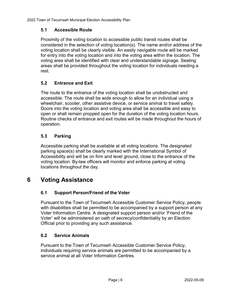### <span id="page-6-0"></span>**5.1 Accessible Route**

Proximity of the voting location to accessible public transit routes shall be considered in the selection of voting location(s). The name and/or address of the voting location shall be clearly visible. An easily navigable route will be marked for entry into the voting location and into the voting area within the location. The voting area shall be identified with clear and understandable signage. Seating areas shall be provided throughout the voting location for individuals needing a rest.

### <span id="page-6-1"></span>**5.2 Entrance and Exit**

The route to the entrance of the voting location shall be unobstructed and accessible. The route shall be wide enough to allow for an individual using a wheelchair, scooter, other assistive device, or service animal to travel safely. Doors into the voting location and voting area shall be accessible and easy to open or shall remain propped open for the duration of the voting location hours. Routine checks of entrance and exit routes will be made throughout the hours of operation.

### <span id="page-6-2"></span>**5.3 Parking**

Accessible parking shall be available at all voting locations. The designated parking space(s) shall be clearly marked with the International Symbol of Accessibility and will be on firm and level ground, close to the entrance of the voting location. By-law officers will monitor and enforce parking at voting locations throughout the day.

# <span id="page-6-4"></span><span id="page-6-3"></span>**6 Voting Assistance**

### **6.1 Support Person/Friend of the Voter**

Pursuant to the Town of Tecumseh Accessible Customer Service Policy, people with disabilities shall be permitted to be accompanied by a support person at any Voter Information Centre. A designated support person and/or 'Friend of the Voter' will be administered an oath of secrecy/confidentiality by an Election Official prior to providing any such assistance.

#### <span id="page-6-5"></span>**6.2 Service Animals**

Pursuant to the Town of Tecumseh Accessible Customer Service Policy, individuals requiring service animals are permitted to be accompanied by a service animal at all Voter Information Centres.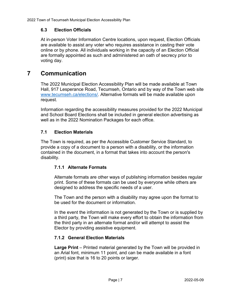### <span id="page-7-0"></span>**6.3 Election Officials**

At in-person Voter Information Centre locations, upon request, Election Officials are available to assist any voter who requires assistance in casting their vote online or by phone. All individuals working in the capacity of an Election Official are formally appointed as such and administered an oath of secrecy prior to voting day.

# <span id="page-7-1"></span>**7 Communication**

The 2022 Municipal Election Accessibility Plan will be made available at Town Hall, 917 Lesperance Road, Tecumseh, Ontario and by way of the Town web site [www.tecumseh.ca/elections/.](http://www.tecumseh.ca/elections/) Alternative formats will be made available upon request.

Information regarding the accessibility measures provided for the 2022 Municipal and School Board Elections shall be included in general election advertising as well as in the 2022 Nomination Packages for each office.

### <span id="page-7-2"></span>**7.1 Election Materials**

The Town is required, as per the Accessible Customer Service Standard, to provide a copy of a document to a person with a disability, or the information contained in the document, in a format that takes into account the person's disability.

### <span id="page-7-3"></span>**7.1.1 Alternate Formats**

Alternate formats are other ways of publishing information besides regular print. Some of these formats can be used by everyone while others are designed to address the specific needs of a user.

The Town and the person with a disability may agree upon the format to be used for the document or information.

In the event the information is not generated by the Town or is supplied by a third party, the Town will make every effort to obtain the information from the third party in an alternate format and/or will attempt to assist the Elector by providing assistive equipment.

### <span id="page-7-4"></span>**7.1.2 General Election Materials**

**Large Print** – Printed material generated by the Town will be provided in an Arial font, minimum 11 point, and can be made available in a font (print) size that is 16 to 20 points or larger.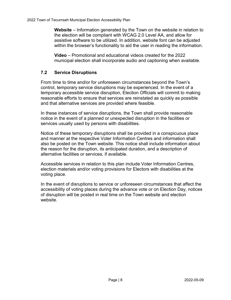**Website** – Information generated by the Town on the website in relation to the election will be compliant with WCAG 2.0 Level AA, and allow for assistive software to be utilized. In addition, website font can be adjusted within the browser's functionality to aid the user in reading the information.

**Video** – Promotional and educational videos created for the 2022 municipal election shall incorporate audio and captioning when available.

#### <span id="page-8-0"></span>**7.2 Service Disruptions**

From time to time and/or for unforeseen circumstances beyond the Town's control, temporary service disruptions may be experienced. In the event of a temporary accessible service disruption, Election Officials will commit to making reasonable efforts to ensure that services are reinstated as quickly as possible and that alternative services are provided where feasible.

In these instances of service disruptions, the Town shall provide reasonable notice in the event of a planned or unexpected disruption in the facilities or services usually used by persons with disabilities.

Notice of these temporary disruptions shall be provided in a conspicuous place and manner at the respective Voter Information Centres and information shall also be posted on the Town website. This notice shall include information about the reason for the disruption, its anticipated duration, and a description of alternative facilities or services, if available.

Accessible services in relation to this plan include Voter Information Centres, election materials and/or voting provisions for Electors with disabilities at the voting place.

In the event of disruptions to service or unforeseen circumstances that affect the accessibility of voting places during the advance vote or on Election Day, notices of disruption will be posted in real time on the Town website and election website.